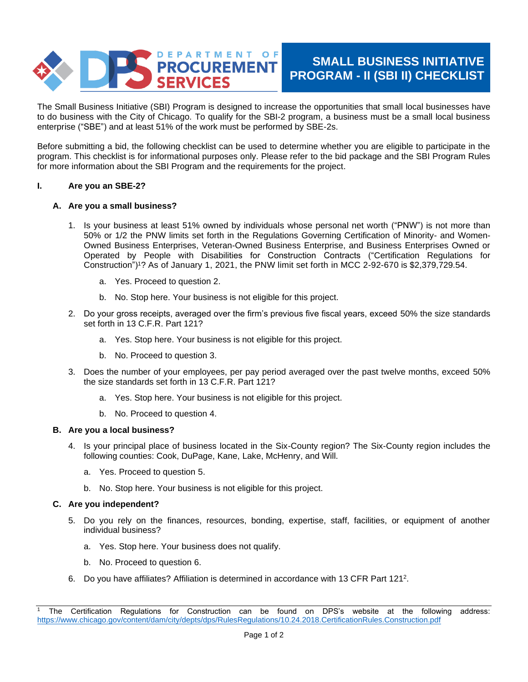

# **SMALL BUSINESS INITIATIVE PROGRAM - II (SBI II) CHECKLIST**

The Small Business Initiative (SBI) Program is designed to increase the opportunities that small local businesses have to do business with the City of Chicago. To qualify for the SBI-2 program, a business must be a small local business enterprise ("SBE") and at least 51% of the work must be performed by SBE-2s.

Before submitting a bid, the following checklist can be used to determine whether you are eligible to participate in the program. This checklist is for informational purposes only. Please refer to the bid package and the SBI Program Rules for more information about the SBI Program and the requirements for the project.

### **I. Are you an SBE-2?**

# **A. Are you a small business?**

- 1. Is your business at least 51% owned by individuals whose personal net worth ("PNW") is not more than 50% or 1/2 the PNW limits set forth in the Regulations Governing Certification of Minority- and Women-Owned Business Enterprises, Veteran-Owned Business Enterprise, and Business Enterprises Owned or Operated by People with Disabilities for Construction Contracts ("Certification Regulations for Construction")<sup>1</sup>? As of January 1, 2021, the PNW limit set forth in MCC 2-92-670 is \$2,379,729.54.
	- a. Yes. Proceed to question 2.
	- b. No. Stop here. Your business is not eligible for this project.
- 2. Do your gross receipts, averaged over the firm's previous five fiscal years, exceed 50% the size standards set forth in 13 C.F.R. Part 121?
	- a. Yes. Stop here. Your business is not eligible for this project.
	- b. No. Proceed to question 3.
- 3. Does the number of your employees, per pay period averaged over the past twelve months, exceed 50% the size standards set forth in 13 C.F.R. Part 121?
	- a. Yes. Stop here. Your business is not eligible for this project.
	- b. No. Proceed to question 4.

### **B. Are you a local business?**

- 4. Is your principal place of business located in the Six-County region? The Six-County region includes the following counties: Cook, DuPage, Kane, Lake, McHenry, and Will.
	- a. Yes. Proceed to question 5.
	- b. No. Stop here. Your business is not eligible for this project.

### **C. Are you independent?**

- 5. Do you rely on the finances, resources, bonding, expertise, staff, facilities, or equipment of another individual business?
	- a. Yes. Stop here. Your business does not qualify.
	- b. No. Proceed to question 6.
- 6. Do you have affiliates? Affiliation is determined in accordance with 13 CFR Part 121<sup>2</sup> .

<sup>1</sup> The Certification Regulations for Construction can be found on DPS's website at the following address: <https://www.chicago.gov/content/dam/city/depts/dps/RulesRegulations/10.24.2018.CertificationRules.Construction.pdf>